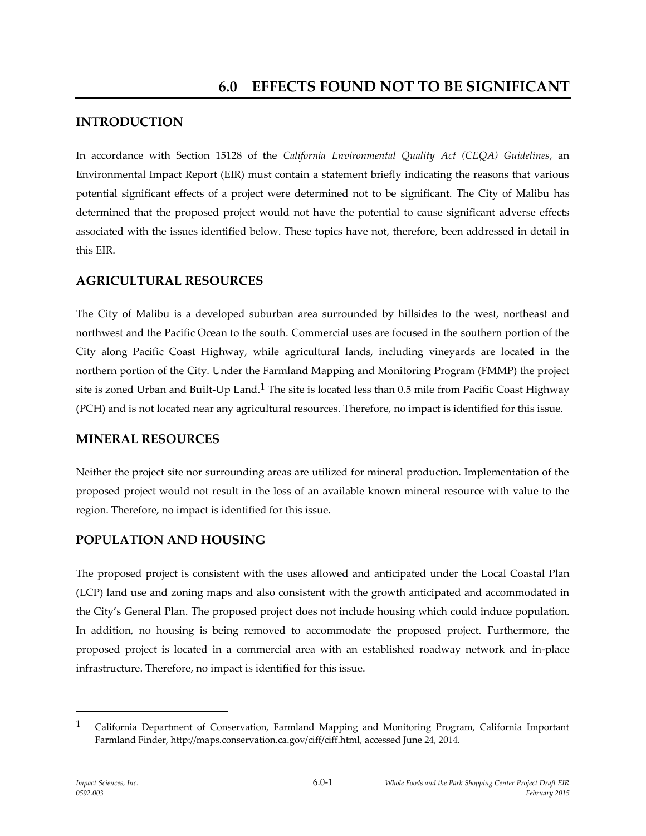# **INTRODUCTION**

In accordance with Section 15128 of the *California Environmental Quality Act (CEQA) Guidelines*, an Environmental Impact Report (EIR) must contain a statement briefly indicating the reasons that various potential significant effects of a project were determined not to be significant. The City of Malibu has determined that the proposed project would not have the potential to cause significant adverse effects associated with the issues identified below. These topics have not, therefore, been addressed in detail in this EIR.

## **AGRICULTURAL RESOURCES**

The City of Malibu is a developed suburban area surrounded by hillsides to the west, northeast and northwest and the Pacific Ocean to the south. Commercial uses are focused in the southern portion of the City along Pacific Coast Highway, while agricultural lands, including vineyards are located in the northern portion of the City. Under the Farmland Mapping and Monitoring Program (FMMP) the project site is zoned Urban and Built-Up Land.<sup>1</sup> The site is located less than 0.5 mile from Pacific Coast Highway (PCH) and is not located near any agricultural resources. Therefore, no impact is identified for this issue.

### **MINERAL RESOURCES**

Neither the project site nor surrounding areas are utilized for mineral production. Implementation of the proposed project would not result in the loss of an available known mineral resource with value to the region. Therefore, no impact is identified for this issue.

## **POPULATION AND HOUSING**

The proposed project is consistent with the uses allowed and anticipated under the Local Coastal Plan (LCP) land use and zoning maps and also consistent with the growth anticipated and accommodated in the City's General Plan. The proposed project does not include housing which could induce population. In addition, no housing is being removed to accommodate the proposed project. Furthermore, the proposed project is located in a commercial area with an established roadway network and in-place infrastructure. Therefore, no impact is identified for this issue.

<sup>1</sup> California Department of Conservation, Farmland Mapping and Monitoring Program, California Important Farmland Finder, http://maps.conservation.ca.gov/ciff/ciff.html, accessed June 24, 2014.